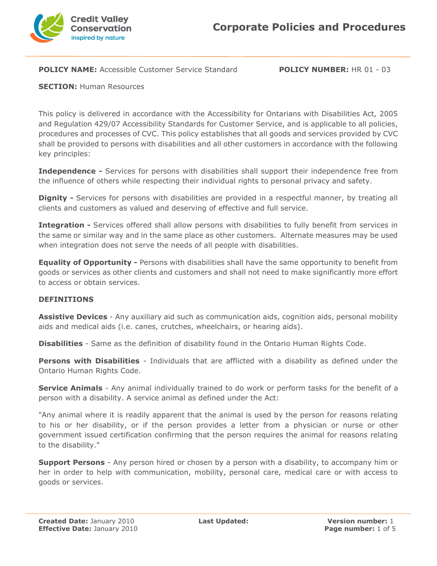

**POLICY NAME:** Accessible Customer Service Standard **POLICY NUMBER:** HR 01 - 03

**SECTION: Human Resources** 

This policy is delivered in accordance with the Accessibility for Ontarians with Disabilities Act, 2005 and Regulation 429/07 Accessibility Standards for Customer Service, and is applicable to all policies, procedures and processes of CVC. This policy establishes that all goods and services provided by CVC shall be provided to persons with disabilities and all other customers in accordance with the following key principles:

**Independence -** Services for persons with disabilities shall support their independence free from the influence of others while respecting their individual rights to personal privacy and safety.

**Dignity -** Services for persons with disabilities are provided in a respectful manner, by treating all clients and customers as valued and deserving of effective and full service.

**Integration -** Services offered shall allow persons with disabilities to fully benefit from services in the same or similar way and in the same place as other customers. Alternate measures may be used when integration does not serve the needs of all people with disabilities.

**Equality of Opportunity -** Persons with disabilities shall have the same opportunity to benefit from goods or services as other clients and customers and shall not need to make significantly more effort to access or obtain services.

## **DEFINITIONS**

**Assistive Devices** - Any auxiliary aid such as communication aids, cognition aids, personal mobility aids and medical aids (i.e. canes, crutches, wheelchairs, or hearing aids).

**Disabilities** - Same as the definition of disability found in the Ontario Human Rights Code.

**Persons with Disabilities** - Individuals that are afflicted with a disability as defined under the Ontario Human Rights Code.

**Service Animals** - Any animal individually trained to do work or perform tasks for the benefit of a person with a disability. A service animal as defined under the Act:

"Any animal where it is readily apparent that the animal is used by the person for reasons relating to his or her disability, or if the person provides a letter from a physician or nurse or other government issued certification confirming that the person requires the animal for reasons relating to the disability."

**Support Persons** - Any person hired or chosen by a person with a disability, to accompany him or her in order to help with communication, mobility, personal care, medical care or with access to goods or services.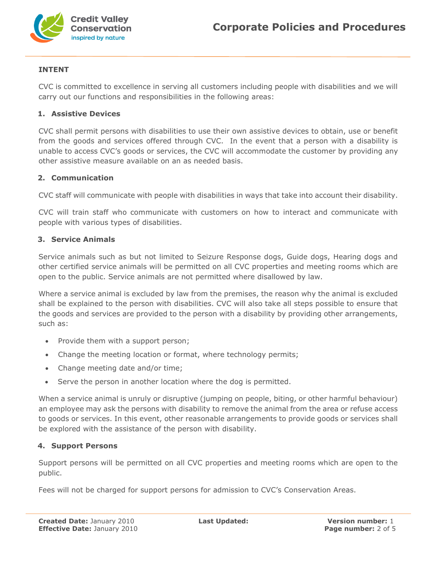

# **INTENT**

CVC is committed to excellence in serving all customers including people with disabilities and we will carry out our functions and responsibilities in the following areas:

#### **1. Assistive Devices**

CVC shall permit persons with disabilities to use their own assistive devices to obtain, use or benefit from the goods and services offered through CVC. In the event that a person with a disability is unable to access CVC's goods or services, the CVC will accommodate the customer by providing any other assistive measure available on an as needed basis.

## **2. Communication**

CVC staff will communicate with people with disabilities in ways that take into account their disability.

CVC will train staff who communicate with customers on how to interact and communicate with people with various types of disabilities.

## **3. Service Animals**

Service animals such as but not limited to Seizure Response dogs, Guide dogs, Hearing dogs and other certified service animals will be permitted on all CVC properties and meeting rooms which are open to the public. Service animals are not permitted where disallowed by law.

Where a service animal is excluded by law from the premises, the reason why the animal is excluded shall be explained to the person with disabilities. CVC will also take all steps possible to ensure that the goods and services are provided to the person with a disability by providing other arrangements, such as:

- Provide them with a support person;
- Change the meeting location or format, where technology permits;
- Change meeting date and/or time;
- Serve the person in another location where the dog is permitted.

When a service animal is unruly or disruptive (jumping on people, biting, or other harmful behaviour) an employee may ask the persons with disability to remove the animal from the area or refuse access to goods or services. In this event, other reasonable arrangements to provide goods or services shall be explored with the assistance of the person with disability.

#### **4. Support Persons**

Support persons will be permitted on all CVC properties and meeting rooms which are open to the public.

Fees will not be charged for support persons for admission to CVC's Conservation Areas.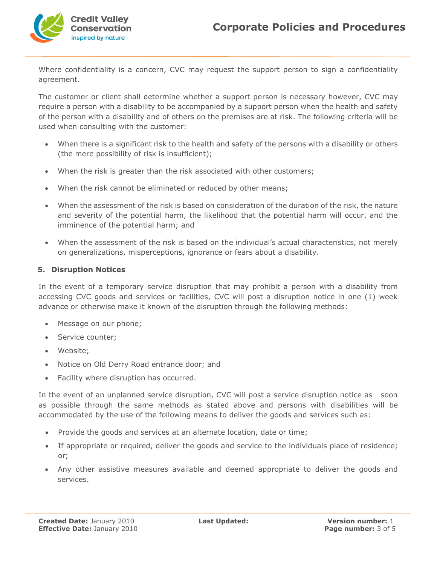

Where confidentiality is a concern, CVC may request the support person to sign a confidentiality agreement.

The customer or client shall determine whether a support person is necessary however, CVC may require a person with a disability to be accompanied by a support person when the health and safety of the person with a disability and of others on the premises are at risk. The following criteria will be used when consulting with the customer:

- When there is a significant risk to the health and safety of the persons with a disability or others (the mere possibility of risk is insufficient);
- When the risk is greater than the risk associated with other customers;
- When the risk cannot be eliminated or reduced by other means;
- When the assessment of the risk is based on consideration of the duration of the risk, the nature and severity of the potential harm, the likelihood that the potential harm will occur, and the imminence of the potential harm; and
- When the assessment of the risk is based on the individual's actual characteristics, not merely on generalizations, misperceptions, ignorance or fears about a disability.

# **5. Disruption Notices**

In the event of a temporary service disruption that may prohibit a person with a disability from accessing CVC goods and services or facilities, CVC will post a disruption notice in one (1) week advance or otherwise make it known of the disruption through the following methods:

- Message on our phone;
- Service counter;
- Website;
- Notice on Old Derry Road entrance door; and
- Facility where disruption has occurred.

In the event of an unplanned service disruption, CVC will post a service disruption notice as soon as possible through the same methods as stated above and persons with disabilities will be accommodated by the use of the following means to deliver the goods and services such as:

- Provide the goods and services at an alternate location, date or time;
- If appropriate or required, deliver the goods and service to the individuals place of residence; or;
- Any other assistive measures available and deemed appropriate to deliver the goods and services.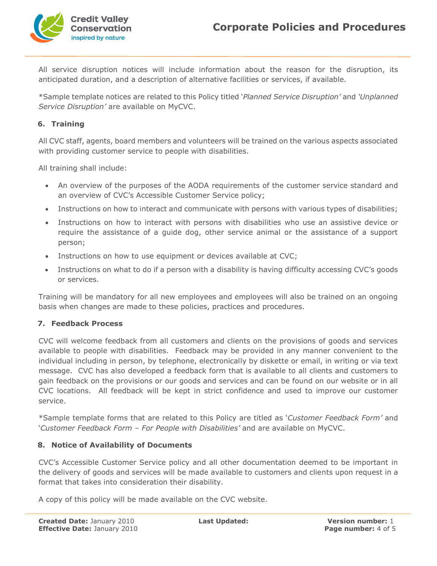

All service disruption notices will include information about the reason for the disruption, its anticipated duration, and a description of alternative facilities or services, if available.

\*Sample template notices are related to this Policy titled '*Planned Service Disruption'* and *'Unplanned Service Disruption'* are available on MyCVC.

## **6. Training**

All CVC staff, agents, board members and volunteers will be trained on the various aspects associated with providing customer service to people with disabilities.

All training shall include:

- An overview of the purposes of the AODA requirements of the customer service standard and an overview of CVC's Accessible Customer Service policy;
- Instructions on how to interact and communicate with persons with various types of disabilities;
- Instructions on how to interact with persons with disabilities who use an assistive device or require the assistance of a guide dog, other service animal or the assistance of a support person;
- Instructions on how to use equipment or devices available at CVC;
- Instructions on what to do if a person with a disability is having difficulty accessing CVC's goods or services.

Training will be mandatory for all new employees and employees will also be trained on an ongoing basis when changes are made to these policies, practices and procedures.

#### **7. Feedback Process**

CVC will welcome feedback from all customers and clients on the provisions of goods and services available to people with disabilities. Feedback may be provided in any manner convenient to the individual including in person, by telephone, electronically by diskette or email, in writing or via text message. CVC has also developed a feedback form that is available to all clients and customers to gain feedback on the provisions or our goods and services and can be found on our website or in all CVC locations. All feedback will be kept in strict confidence and used to improve our customer service.

\*Sample template forms that are related to this Policy are titled as '*Customer Feedback Form'* and '*Customer Feedback Form – For People with Disabilities'* and are available on MyCVC.

#### **8. Notice of Availability of Documents**

CVC's Accessible Customer Service policy and all other documentation deemed to be important in the delivery of goods and services will be made available to customers and clients upon request in a format that takes into consideration their disability.

A copy of this policy will be made available on the CVC website.